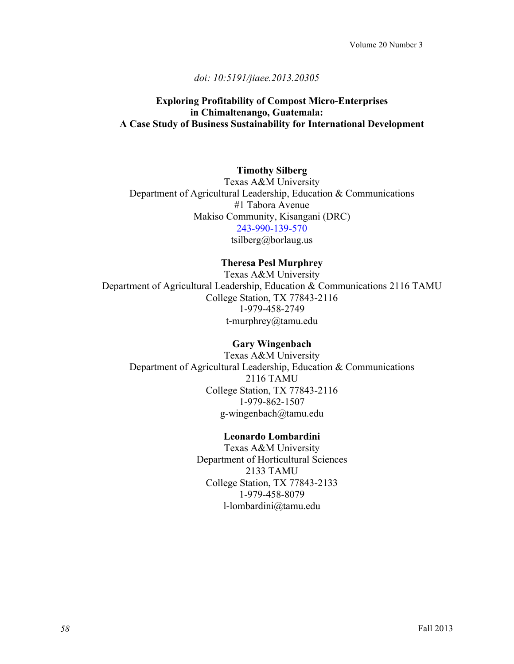# *doi: 10:5191/jiaee.2013.20305*

# **Exploring Profitability of Compost Micro-Enterprises in Chimaltenango, Guatemala: A Case Study of Business Sustainability for International Development**

### **Timothy Silberg**

Texas A&M University Department of Agricultural Leadership, Education & Communications #1 Tabora Avenue Makiso Community, Kisangani (DRC) 243-990-139-570 tsilberg@borlaug.us

# **Theresa Pesl Murphrey**

Texas A&M University Department of Agricultural Leadership, Education & Communications 2116 TAMU College Station, TX 77843-2116 1-979-458-2749 t-murphrey@tamu.edu

### **Gary Wingenbach**

Texas A&M University Department of Agricultural Leadership, Education & Communications 2116 TAMU College Station, TX 77843-2116 1-979-862-1507 g-wingenbach@tamu.edu

#### **Leonardo Lombardini**

Texas A&M University Department of Horticultural Sciences 2133 TAMU College Station, TX 77843-2133 1-979-458-8079 l-lombardini@tamu.edu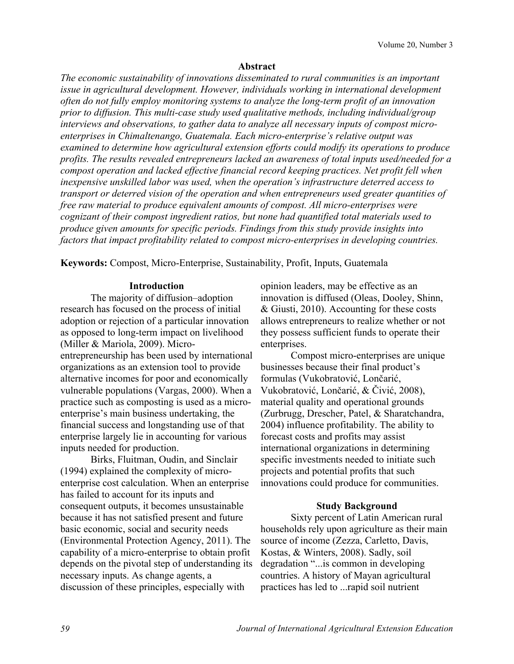#### **Abstract**

*The economic sustainability of innovations disseminated to rural communities is an important issue in agricultural development. However, individuals working in international development often do not fully employ monitoring systems to analyze the long-term profit of an innovation prior to diffusion. This multi-case study used qualitative methods, including individual/group interviews and observations, to gather data to analyze all necessary inputs of compost microenterprises in Chimaltenango, Guatemala. Each micro-enterprise's relative output was examined to determine how agricultural extension efforts could modify its operations to produce profits. The results revealed entrepreneurs lacked an awareness of total inputs used/needed for a compost operation and lacked effective financial record keeping practices. Net profit fell when inexpensive unskilled labor was used, when the operation's infrastructure deterred access to transport or deterred vision of the operation and when entrepreneurs used greater quantities of free raw material to produce equivalent amounts of compost. All micro-enterprises were cognizant of their compost ingredient ratios, but none had quantified total materials used to produce given amounts for specific periods. Findings from this study provide insights into factors that impact profitability related to compost micro-enterprises in developing countries.*

**Keywords:** Compost, Micro-Enterprise, Sustainability, Profit, Inputs, Guatemala

### **Introduction**

The majority of diffusion–adoption research has focused on the process of initial adoption or rejection of a particular innovation as opposed to long-term impact on livelihood (Miller & Mariola, 2009). Microentrepreneurship has been used by international organizations as an extension tool to provide alternative incomes for poor and economically vulnerable populations (Vargas, 2000). When a practice such as composting is used as a microenterprise's main business undertaking, the financial success and longstanding use of that enterprise largely lie in accounting for various inputs needed for production.

Birks, Fluitman, Oudin, and Sinclair (1994) explained the complexity of microenterprise cost calculation. When an enterprise has failed to account for its inputs and consequent outputs, it becomes unsustainable because it has not satisfied present and future basic economic, social and security needs (Environmental Protection Agency, 2011). The capability of a micro-enterprise to obtain profit depends on the pivotal step of understanding its necessary inputs. As change agents, a discussion of these principles, especially with

opinion leaders, may be effective as an innovation is diffused (Oleas, Dooley, Shinn, & Giusti, 2010). Accounting for these costs allows entrepreneurs to realize whether or not they possess sufficient funds to operate their enterprises.

Compost micro-enterprises are unique businesses because their final product's formulas (Vukobratović, Lončarić, Vukobratović, Lončarić, & Čivić, 2008), material quality and operational grounds (Zurbrugg, Drescher, Patel, & Sharatchandra, 2004) influence profitability. The ability to forecast costs and profits may assist international organizations in determining specific investments needed to initiate such projects and potential profits that such innovations could produce for communities.

#### **Study Background**

Sixty percent of Latin American rural households rely upon agriculture as their main source of income (Zezza, Carletto, Davis, Kostas, & Winters, 2008). Sadly, soil degradation "...is common in developing countries. A history of Mayan agricultural practices has led to ...rapid soil nutrient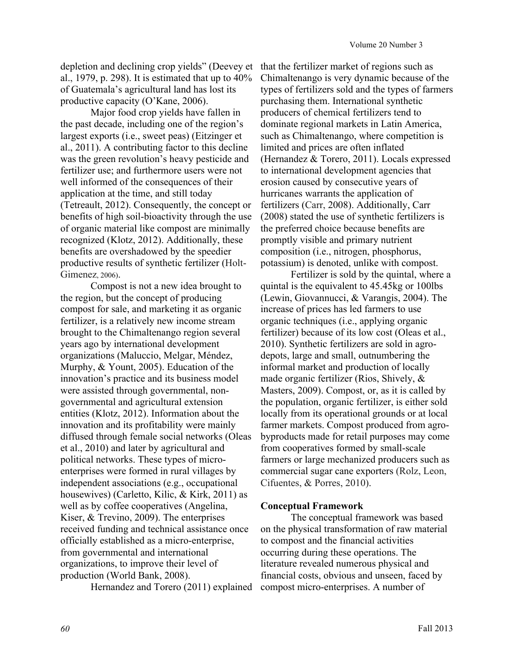depletion and declining crop yields" (Deevey et al., 1979, p. 298). It is estimated that up to 40% of Guatemala's agricultural land has lost its productive capacity (O'Kane, 2006).

Major food crop yields have fallen in the past decade, including one of the region's largest exports (i.e., sweet peas) (Eitzinger et al., 2011). A contributing factor to this decline was the green revolution's heavy pesticide and fertilizer use; and furthermore users were not well informed of the consequences of their application at the time, and still today (Tetreault, 2012). Consequently, the concept or benefits of high soil-bioactivity through the use of organic material like compost are minimally recognized (Klotz, 2012). Additionally, these benefits are overshadowed by the speedier productive results of synthetic fertilizer (Holt-Gimenez, 2006).

Compost is not a new idea brought to the region, but the concept of producing compost for sale, and marketing it as organic fertilizer, is a relatively new income stream brought to the Chimaltenango region several years ago by international development organizations (Maluccio, Melgar, Méndez, Murphy, & Yount, 2005). Education of the innovation's practice and its business model were assisted through governmental, nongovernmental and agricultural extension entities (Klotz, 2012). Information about the innovation and its profitability were mainly diffused through female social networks (Oleas et al., 2010) and later by agricultural and political networks. These types of microenterprises were formed in rural villages by independent associations (e.g., occupational housewives) (Carletto, Kilic, & Kirk, 2011) as well as by coffee cooperatives (Angelina, Kiser, & Trevino, 2009). The enterprises received funding and technical assistance once officially established as a micro-enterprise, from governmental and international organizations, to improve their level of production (World Bank, 2008).

Hernandez and Torero (2011) explained

that the fertilizer market of regions such as Chimaltenango is very dynamic because of the types of fertilizers sold and the types of farmers purchasing them. International synthetic producers of chemical fertilizers tend to dominate regional markets in Latin America, such as Chimaltenango, where competition is limited and prices are often inflated (Hernandez & Torero, 2011). Locals expressed to international development agencies that erosion caused by consecutive years of hurricanes warrants the application of fertilizers (Carr, 2008). Additionally, Carr (2008) stated the use of synthetic fertilizers is the preferred choice because benefits are promptly visible and primary nutrient composition (i.e., nitrogen, phosphorus, potassium) is denoted, unlike with compost.

Fertilizer is sold by the quintal, where a quintal is the equivalent to 45.45kg or 100lbs (Lewin, Giovannucci, & Varangis, 2004). The increase of prices has led farmers to use organic techniques (i.e., applying organic fertilizer) because of its low cost (Oleas et al., 2010). Synthetic fertilizers are sold in agrodepots, large and small, outnumbering the informal market and production of locally made organic fertilizer (Rios, Shively, & Masters, 2009). Compost, or, as it is called by the population, organic fertilizer, is either sold locally from its operational grounds or at local farmer markets. Compost produced from agrobyproducts made for retail purposes may come from cooperatives formed by small-scale farmers or large mechanized producers such as commercial sugar cane exporters (Rolz, Leon, Cifuentes, & Porres, 2010).

### **Conceptual Framework**

The conceptual framework was based on the physical transformation of raw material to compost and the financial activities occurring during these operations. The literature revealed numerous physical and financial costs, obvious and unseen, faced by compost micro-enterprises. A number of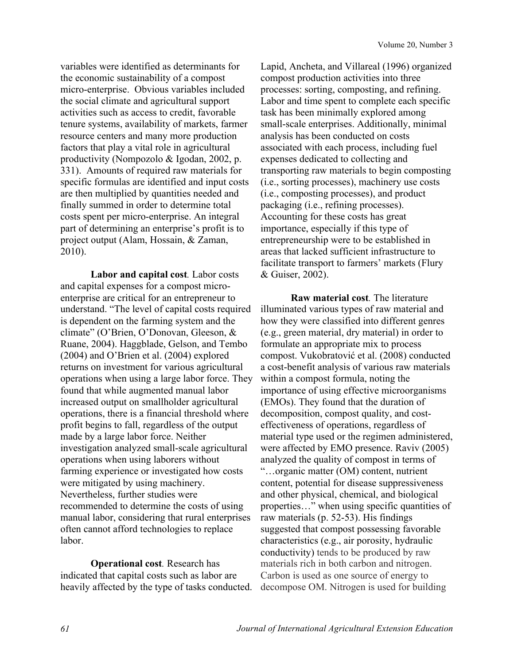variables were identified as determinants for the economic sustainability of a compost micro-enterprise. Obvious variables included the social climate and agricultural support activities such as access to credit, favorable tenure systems, availability of markets, farmer resource centers and many more production factors that play a vital role in agricultural productivity (Nompozolo & Igodan, 2002, p. 331). Amounts of required raw materials for specific formulas are identified and input costs are then multiplied by quantities needed and finally summed in order to determine total costs spent per micro-enterprise. An integral part of determining an enterprise's profit is to project output (Alam, Hossain, & Zaman, 2010).

**Labor and capital cost***.* Labor costs and capital expenses for a compost microenterprise are critical for an entrepreneur to understand. "The level of capital costs required is dependent on the farming system and the climate" (O'Brien, O'Donovan, Gleeson, & Ruane, 2004). Haggblade, Gelson, and Tembo (2004) and O'Brien et al. (2004) explored returns on investment for various agricultural operations when using a large labor force. They found that while augmented manual labor increased output on smallholder agricultural operations, there is a financial threshold where profit begins to fall, regardless of the output made by a large labor force. Neither investigation analyzed small-scale agricultural operations when using laborers without farming experience or investigated how costs were mitigated by using machinery. Nevertheless, further studies were recommended to determine the costs of using manual labor, considering that rural enterprises often cannot afford technologies to replace labor.

**Operational cost***.* Research has indicated that capital costs such as labor are heavily affected by the type of tasks conducted. Lapid, Ancheta, and Villareal (1996) organized compost production activities into three processes: sorting, composting, and refining. Labor and time spent to complete each specific task has been minimally explored among small-scale enterprises. Additionally, minimal analysis has been conducted on costs associated with each process, including fuel expenses dedicated to collecting and transporting raw materials to begin composting (i.e., sorting processes), machinery use costs (i.e., composting processes), and product packaging (i.e., refining processes). Accounting for these costs has great importance, especially if this type of entrepreneurship were to be established in areas that lacked sufficient infrastructure to facilitate transport to farmers' markets (Flury & Guiser, 2002).

**Raw material cost***.* The literature illuminated various types of raw material and how they were classified into different genres (e.g., green material, dry material) in order to formulate an appropriate mix to process compost. Vukobratović et al. (2008) conducted a cost-benefit analysis of various raw materials within a compost formula, noting the importance of using effective microorganisms (EMOs). They found that the duration of decomposition, compost quality, and costeffectiveness of operations, regardless of material type used or the regimen administered, were affected by EMO presence. Raviv (2005) analyzed the quality of compost in terms of "…organic matter (OM) content, nutrient content, potential for disease suppressiveness and other physical, chemical, and biological properties…" when using specific quantities of raw materials (p. 52-53). His findings suggested that compost possessing favorable characteristics (e.g., air porosity, hydraulic conductivity) tends to be produced by raw materials rich in both carbon and nitrogen. Carbon is used as one source of energy to decompose OM. Nitrogen is used for building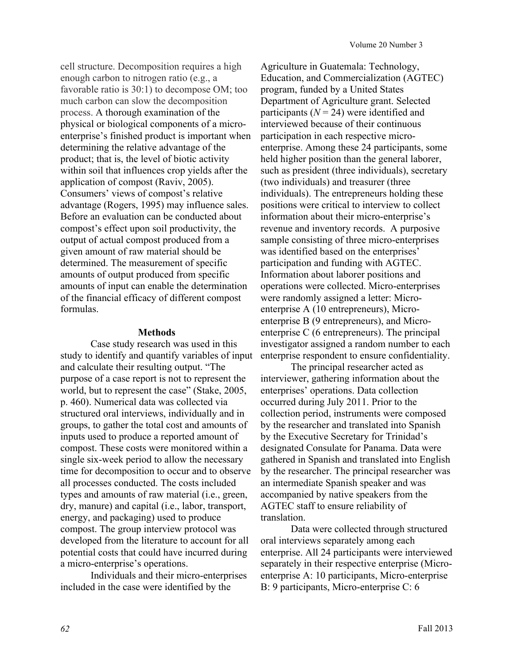cell structure. Decomposition requires a high enough carbon to nitrogen ratio (e.g., a favorable ratio is 30:1) to decompose OM; too much carbon can slow the decomposition process. A thorough examination of the physical or biological components of a microenterprise's finished product is important when determining the relative advantage of the product; that is, the level of biotic activity within soil that influences crop yields after the application of compost (Raviv, 2005). Consumers' views of compost's relative advantage (Rogers, 1995) may influence sales. Before an evaluation can be conducted about compost's effect upon soil productivity, the output of actual compost produced from a given amount of raw material should be determined. The measurement of specific amounts of output produced from specific amounts of input can enable the determination of the financial efficacy of different compost formulas.

#### **Methods**

Case study research was used in this study to identify and quantify variables of input and calculate their resulting output. "The purpose of a case report is not to represent the world, but to represent the case" (Stake, 2005, p. 460). Numerical data was collected via structured oral interviews, individually and in groups, to gather the total cost and amounts of inputs used to produce a reported amount of compost. These costs were monitored within a single six-week period to allow the necessary time for decomposition to occur and to observe all processes conducted. The costs included types and amounts of raw material (i.e., green, dry, manure) and capital (i.e., labor, transport, energy, and packaging) used to produce compost. The group interview protocol was developed from the literature to account for all potential costs that could have incurred during a micro-enterprise's operations.

Individuals and their micro-enterprises included in the case were identified by the

Agriculture in Guatemala: Technology, Education, and Commercialization (AGTEC) program, funded by a United States Department of Agriculture grant. Selected participants  $(N = 24)$  were identified and interviewed because of their continuous participation in each respective microenterprise. Among these 24 participants, some held higher position than the general laborer, such as president (three individuals), secretary (two individuals) and treasurer (three individuals). The entrepreneurs holding these positions were critical to interview to collect information about their micro-enterprise's revenue and inventory records. A purposive sample consisting of three micro-enterprises was identified based on the enterprises' participation and funding with AGTEC. Information about laborer positions and operations were collected. Micro-enterprises were randomly assigned a letter: Microenterprise A (10 entrepreneurs), Microenterprise B (9 entrepreneurs), and Microenterprise C (6 entrepreneurs). The principal investigator assigned a random number to each enterprise respondent to ensure confidentiality.

The principal researcher acted as interviewer, gathering information about the enterprises' operations. Data collection occurred during July 2011. Prior to the collection period, instruments were composed by the researcher and translated into Spanish by the Executive Secretary for Trinidad's designated Consulate for Panama. Data were gathered in Spanish and translated into English by the researcher. The principal researcher was an intermediate Spanish speaker and was accompanied by native speakers from the AGTEC staff to ensure reliability of translation.

Data were collected through structured oral interviews separately among each enterprise. All 24 participants were interviewed separately in their respective enterprise (Microenterprise A: 10 participants, Micro-enterprise B: 9 participants, Micro-enterprise C: 6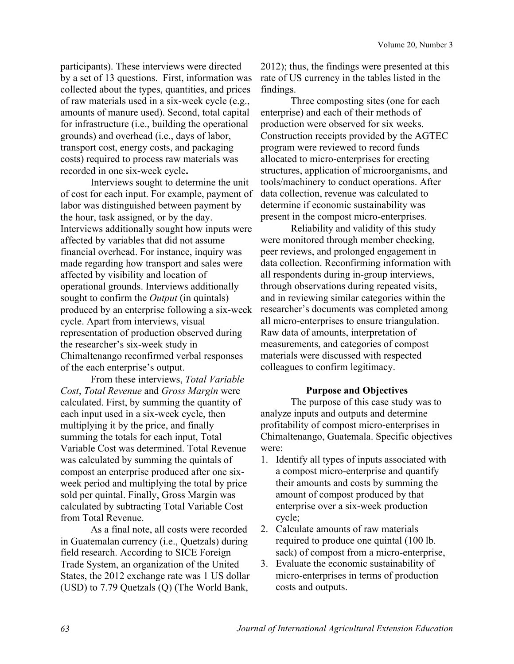participants). These interviews were directed by a set of 13 questions. First, information was collected about the types, quantities, and prices of raw materials used in a six-week cycle (e.g., amounts of manure used). Second, total capital for infrastructure (i.e., building the operational grounds) and overhead (i.e., days of labor, transport cost, energy costs, and packaging costs) required to process raw materials was recorded in one six-week cycle**.**

Interviews sought to determine the unit of cost for each input. For example, payment of labor was distinguished between payment by the hour, task assigned, or by the day. Interviews additionally sought how inputs were affected by variables that did not assume financial overhead. For instance, inquiry was made regarding how transport and sales were affected by visibility and location of operational grounds. Interviews additionally sought to confirm the *Output* (in quintals) produced by an enterprise following a six-week cycle. Apart from interviews, visual representation of production observed during the researcher's six-week study in Chimaltenango reconfirmed verbal responses of the each enterprise's output.

From these interviews, *Total Variable Cost*, *Total Revenue* and *Gross Margin* were calculated. First, by summing the quantity of each input used in a six-week cycle, then multiplying it by the price, and finally summing the totals for each input, Total Variable Cost was determined. Total Revenue was calculated by summing the quintals of compost an enterprise produced after one sixweek period and multiplying the total by price sold per quintal. Finally, Gross Margin was calculated by subtracting Total Variable Cost from Total Revenue.

As a final note, all costs were recorded in Guatemalan currency (i.e., Quetzals) during field research. According to SICE Foreign Trade System, an organization of the United States, the 2012 exchange rate was 1 US dollar (USD) to 7.79 Quetzals (Q) (The World Bank,

2012); thus, the findings were presented at this rate of US currency in the tables listed in the findings.

Three composting sites (one for each enterprise) and each of their methods of production were observed for six weeks. Construction receipts provided by the AGTEC program were reviewed to record funds allocated to micro-enterprises for erecting structures, application of microorganisms, and tools/machinery to conduct operations. After data collection, revenue was calculated to determine if economic sustainability was present in the compost micro-enterprises.

Reliability and validity of this study were monitored through member checking, peer reviews, and prolonged engagement in data collection. Reconfirming information with all respondents during in-group interviews, through observations during repeated visits, and in reviewing similar categories within the researcher's documents was completed among all micro-enterprises to ensure triangulation. Raw data of amounts, interpretation of measurements, and categories of compost materials were discussed with respected colleagues to confirm legitimacy.

#### **Purpose and Objectives**

The purpose of this case study was to analyze inputs and outputs and determine profitability of compost micro-enterprises in Chimaltenango, Guatemala. Specific objectives were:

- 1. Identify all types of inputs associated with a compost micro-enterprise and quantify their amounts and costs by summing the amount of compost produced by that enterprise over a six-week production cycle;
- 2. Calculate amounts of raw materials required to produce one quintal (100 lb. sack) of compost from a micro-enterprise,
- 3. Evaluate the economic sustainability of micro-enterprises in terms of production costs and outputs.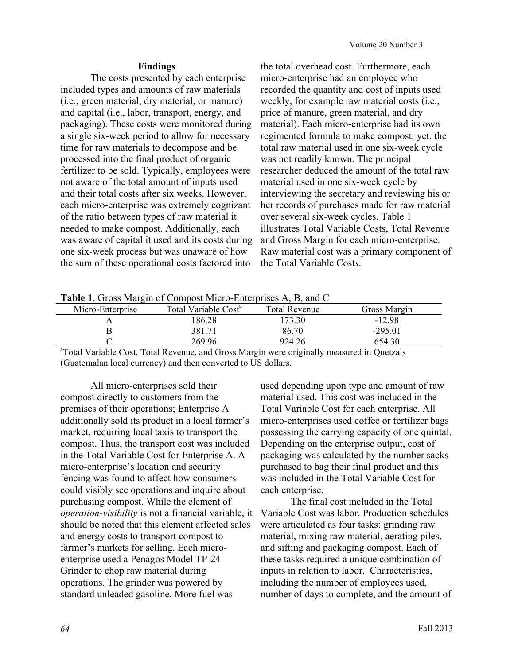### **Findings**

The costs presented by each enterprise included types and amounts of raw materials (i.e., green material, dry material, or manure) and capital (i.e., labor, transport, energy, and packaging). These costs were monitored during a single six-week period to allow for necessary time for raw materials to decompose and be processed into the final product of organic fertilizer to be sold. Typically, employees were not aware of the total amount of inputs used and their total costs after six weeks. However, each micro-enterprise was extremely cognizant of the ratio between types of raw material it needed to make compost. Additionally, each was aware of capital it used and its costs during one six-week process but was unaware of how the sum of these operational costs factored into

the total overhead cost. Furthermore, each micro-enterprise had an employee who recorded the quantity and cost of inputs used weekly, for example raw material costs (i.e., price of manure, green material, and dry material). Each micro-enterprise had its own regimented formula to make compost; yet, the total raw material used in one six-week cycle was not readily known. The principal researcher deduced the amount of the total raw material used in one six-week cycle by interviewing the secretary and reviewing his or her records of purchases made for raw material over several six-week cycles. Table 1 illustrates Total Variable Costs, Total Revenue and Gross Margin for each micro-enterprise. Raw material cost was a primary component of the Total Variable Cost*s*.

**Table 1**. Gross Margin of Compost Micro-Enterprises A, B, and C

| Tuble 1. Oross margin of composements Emerginities in B, and C |                                  |                      |                      |  |  |
|----------------------------------------------------------------|----------------------------------|----------------------|----------------------|--|--|
| Micro-Enterprise                                               | Total Variable Cost <sup>a</sup> | <b>Total Revenue</b> | Gross Margin         |  |  |
|                                                                | 186.28                           | 173.30               | $-12.98$             |  |  |
|                                                                | 381.71                           | 86.70                | $-295.01$            |  |  |
|                                                                | 269.96                           | 924.26               | 654.30               |  |  |
|                                                                | ---<br>___                       | .                    | $\sim$ $\sim$ $\sim$ |  |  |

<sup>a</sup>Total Variable Cost, Total Revenue, and Gross Margin were originally measured in Quetzals (Guatemalan local currency) and then converted to US dollars.

All micro-enterprises sold their compost directly to customers from the premises of their operations; Enterprise A additionally sold its product in a local farmer's market, requiring local taxis to transport the compost. Thus, the transport cost was included in the Total Variable Cost for Enterprise A. A micro-enterprise's location and security fencing was found to affect how consumers could visibly see operations and inquire about purchasing compost. While the element of *operation-visibility* is not a financial variable, it should be noted that this element affected sales and energy costs to transport compost to farmer's markets for selling. Each microenterprise used a Penagos Model TP-24 Grinder to chop raw material during operations. The grinder was powered by standard unleaded gasoline. More fuel was

used depending upon type and amount of raw material used. This cost was included in the Total Variable Cost for each enterprise. All micro-enterprises used coffee or fertilizer bags possessing the carrying capacity of one quintal. Depending on the enterprise output, cost of packaging was calculated by the number sacks purchased to bag their final product and this was included in the Total Variable Cost for each enterprise.

The final cost included in the Total Variable Cost was labor. Production schedules were articulated as four tasks: grinding raw material, mixing raw material, aerating piles, and sifting and packaging compost. Each of these tasks required a unique combination of inputs in relation to labor. Characteristics, including the number of employees used, number of days to complete, and the amount of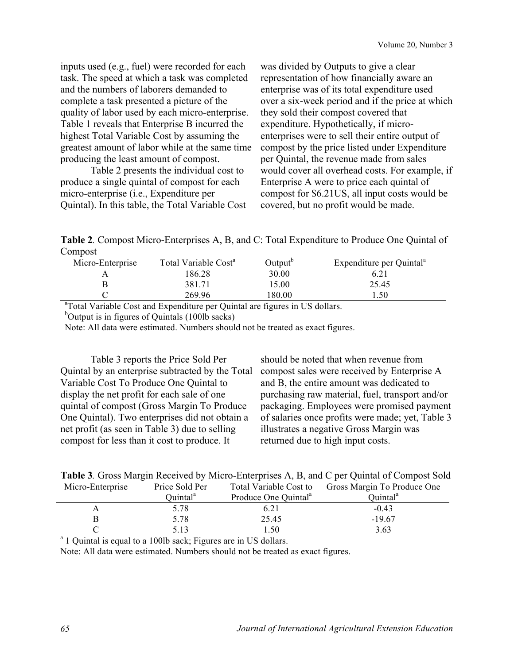inputs used (e.g., fuel) were recorded for each task. The speed at which a task was completed and the numbers of laborers demanded to complete a task presented a picture of the quality of labor used by each micro-enterprise. Table 1 reveals that Enterprise B incurred the highest Total Variable Cost by assuming the greatest amount of labor while at the same time producing the least amount of compost.

Table 2 presents the individual cost to produce a single quintal of compost for each micro-enterprise (i.e., Expenditure per Quintal). In this table, the Total Variable Cost was divided by Outputs to give a clear representation of how financially aware an enterprise was of its total expenditure used over a six-week period and if the price at which they sold their compost covered that expenditure. Hypothetically, if microenterprises were to sell their entire output of compost by the price listed under Expenditure per Quintal, the revenue made from sales would cover all overhead costs. For example, if Enterprise A were to price each quintal of compost for \$6.21US, all input costs would be covered, but no profit would be made.

**Table 2***.* Compost Micro-Enterprises A, B, and C: Total Expenditure to Produce One Quintal of Compost

| Micro-Enterprise | Total Variable Cost <sup>a</sup> | )utput" | Expenditure per Quintal <sup>a</sup> |
|------------------|----------------------------------|---------|--------------------------------------|
|                  | 86.28                            | 30.00   |                                      |
|                  | 381.71                           | 5.00    | 25.45                                |
|                  | 269.96                           | 80.00   | .50                                  |

<sup>a</sup>Total Variable Cost and Expenditure per Quintal are figures in US dollars.

<sup>b</sup>Output is in figures of Quintals (100lb sacks)

Note: All data were estimated. Numbers should not be treated as exact figures.

Table 3 reports the Price Sold Per Quintal by an enterprise subtracted by the Total Variable Cost To Produce One Quintal to display the net profit for each sale of one quintal of compost (Gross Margin To Produce One Quintal). Two enterprises did not obtain a net profit (as seen in Table 3) due to selling compost for less than it cost to produce. It

should be noted that when revenue from compost sales were received by Enterprise A and B, the entire amount was dedicated to purchasing raw material, fuel, transport and/or packaging. Employees were promised payment of salaries once profits were made; yet, Table 3 illustrates a negative Gross Margin was returned due to high input costs.

|  |  |  | Table 3. Gross Margin Received by Micro-Enterprises A, B, and C per Quintal of Compost Sold |
|--|--|--|---------------------------------------------------------------------------------------------|
|  |  |  |                                                                                             |

| Micro-Enterprise | Price Sold Per       | Total Variable Cost to           | Gross Margin To Produce One |
|------------------|----------------------|----------------------------------|-----------------------------|
|                  | Ouintal <sup>a</sup> | Produce One Quintal <sup>a</sup> | Quintal <sup>a</sup>        |
|                  | 5.78                 | 6.21                             | $-0.43$                     |
|                  | 5.78                 | 25.45                            | $-19.67$                    |
|                  | 5.13                 | .50                              | 3.63                        |
|                  |                      |                                  |                             |

<sup>a</sup> 1 Quintal is equal to a 100lb sack; Figures are in US dollars.

Note: All data were estimated. Numbers should not be treated as exact figures.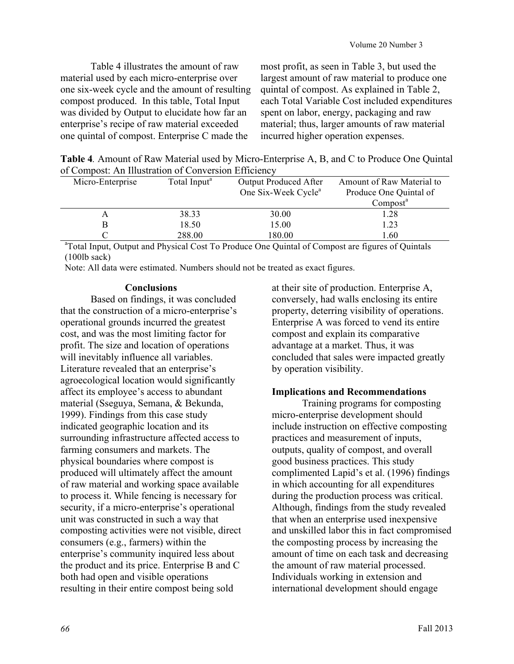Table 4 illustrates the amount of raw material used by each micro-enterprise over one six-week cycle and the amount of resulting compost produced. In this table, Total Input was divided by Output to elucidate how far an enterprise's recipe of raw material exceeded one quintal of compost. Enterprise C made the

most profit, as seen in Table 3, but used the largest amount of raw material to produce one quintal of compost. As explained in Table 2, each Total Variable Cost included expenditures spent on labor, energy, packaging and raw material; thus, larger amounts of raw material incurred higher operation expenses.

**Table 4***.* Amount of Raw Material used by Micro-Enterprise A, B, and C to Produce One Quintal of Compost: An Illustration of Conversion Efficiency

| Micro-Enterprise | Total Input <sup>a</sup> | <b>Output Produced After</b>    | Amount of Raw Material to             |
|------------------|--------------------------|---------------------------------|---------------------------------------|
|                  |                          | One Six-Week Cycle <sup>a</sup> | Produce One Quintal of                |
|                  |                          |                                 | Compost <sup>a</sup>                  |
| A                | 38.33                    | 30.00                           | 1.28                                  |
|                  | 18.50                    | 15.00                           | .23                                   |
|                  | 288.00                   | 180.00                          | l.60                                  |
| $2 - 2 - 1$      | .<br>.                   | .                               | $\sim$<br>$\sim$ $\sim$ $\sim$ $\sim$ |

<sup>a</sup>Total Input, Output and Physical Cost To Produce One Quintal of Compost are figures of Quintals  $(100$ lb sack)

Note: All data were estimated. Numbers should not be treated as exact figures.

# **Conclusions**

Based on findings, it was concluded that the construction of a micro-enterprise's operational grounds incurred the greatest cost, and was the most limiting factor for profit. The size and location of operations will inevitably influence all variables. Literature revealed that an enterprise's agroecological location would significantly affect its employee's access to abundant material (Sseguya, Semana, & Bekunda, 1999). Findings from this case study indicated geographic location and its surrounding infrastructure affected access to farming consumers and markets. The physical boundaries where compost is produced will ultimately affect the amount of raw material and working space available to process it. While fencing is necessary for security, if a micro-enterprise's operational unit was constructed in such a way that composting activities were not visible, direct consumers (e.g., farmers) within the enterprise's community inquired less about the product and its price. Enterprise B and C both had open and visible operations resulting in their entire compost being sold

at their site of production. Enterprise A, conversely, had walls enclosing its entire property, deterring visibility of operations. Enterprise A was forced to vend its entire compost and explain its comparative advantage at a market. Thus, it was concluded that sales were impacted greatly by operation visibility.

# **Implications and Recommendations**

Training programs for composting micro-enterprise development should include instruction on effective composting practices and measurement of inputs, outputs, quality of compost, and overall good business practices. This study complimented Lapid's et al. (1996) findings in which accounting for all expenditures during the production process was critical. Although, findings from the study revealed that when an enterprise used inexpensive and unskilled labor this in fact compromised the composting process by increasing the amount of time on each task and decreasing the amount of raw material processed. Individuals working in extension and international development should engage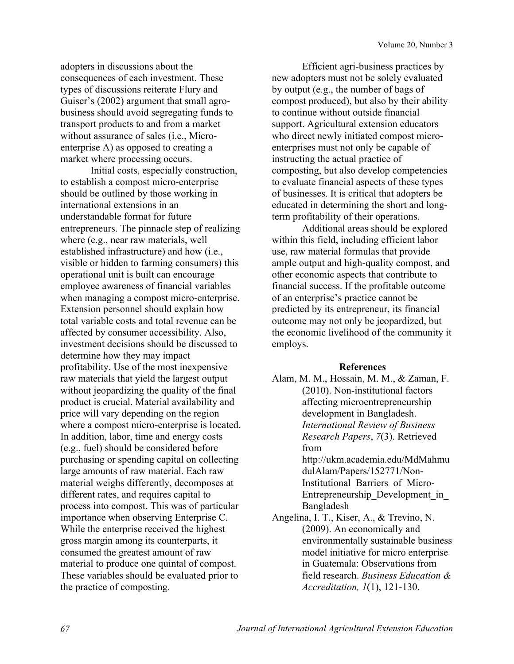adopters in discussions about the consequences of each investment. These types of discussions reiterate Flury and Guiser's (2002) argument that small agrobusiness should avoid segregating funds to transport products to and from a market without assurance of sales (i.e., Microenterprise A) as opposed to creating a market where processing occurs.

Initial costs, especially construction, to establish a compost micro-enterprise should be outlined by those working in international extensions in an understandable format for future entrepreneurs. The pinnacle step of realizing where (e.g., near raw materials, well established infrastructure) and how (i.e., visible or hidden to farming consumers) this operational unit is built can encourage employee awareness of financial variables when managing a compost micro-enterprise. Extension personnel should explain how total variable costs and total revenue can be affected by consumer accessibility. Also, investment decisions should be discussed to determine how they may impact profitability. Use of the most inexpensive raw materials that yield the largest output without jeopardizing the quality of the final product is crucial. Material availability and price will vary depending on the region where a compost micro-enterprise is located. In addition, labor, time and energy costs (e.g., fuel) should be considered before purchasing or spending capital on collecting large amounts of raw material. Each raw material weighs differently, decomposes at different rates, and requires capital to process into compost. This was of particular importance when observing Enterprise C. While the enterprise received the highest gross margin among its counterparts, it consumed the greatest amount of raw material to produce one quintal of compost. These variables should be evaluated prior to the practice of composting.

Efficient agri-business practices by new adopters must not be solely evaluated by output (e.g., the number of bags of compost produced), but also by their ability to continue without outside financial support. Agricultural extension educators who direct newly initiated compost microenterprises must not only be capable of instructing the actual practice of composting, but also develop competencies to evaluate financial aspects of these types of businesses. It is critical that adopters be educated in determining the short and longterm profitability of their operations.

Additional areas should be explored within this field, including efficient labor use, raw material formulas that provide ample output and high-quality compost, and other economic aspects that contribute to financial success. If the profitable outcome of an enterprise's practice cannot be predicted by its entrepreneur, its financial outcome may not only be jeopardized, but the economic livelihood of the community it employs.

#### **References**

- Alam, M. M., Hossain, M. M., & Zaman, F. (2010). Non-institutional factors affecting microentrepreneurship development in Bangladesh. *International Review of Business Research Papers*, *7*(3). Retrieved from http://ukm.academia.edu/MdMahmu dulAlam/Papers/152771/Non-Institutional\_Barriers\_of\_Micro-Entrepreneurship\_Development\_in\_ Bangladesh
- Angelina, I. T., Kiser, A., & Trevino, N. (2009). An economically and environmentally sustainable business model initiative for micro enterprise in Guatemala: Observations from field research. *Business Education & Accreditation, 1*(1), 121-130.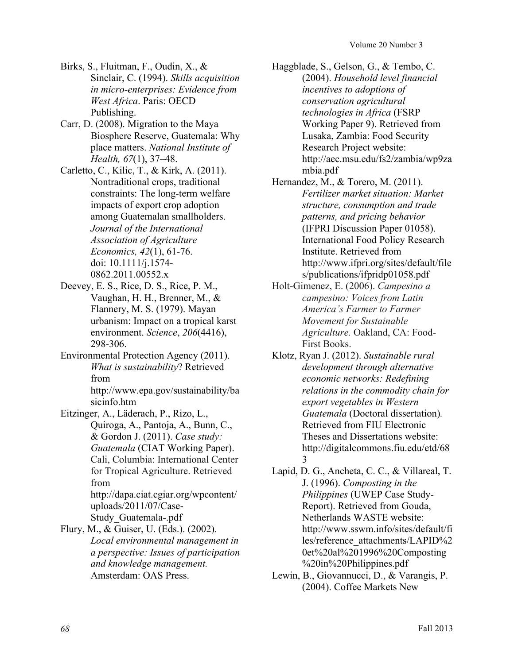- Birks, S., Fluitman, F., Oudin, X., & Sinclair, C. (1994). *Skills acquisition in micro-enterprises: Evidence from West Africa*. Paris: OECD Publishing.
- Carr, D. (2008). Migration to the Maya Biosphere Reserve, Guatemala: Why place matters. *National Institute of Health, 67*(1), 37–48.
- Carletto, C., Kilic, T., & Kirk, A. (2011). Nontraditional crops, traditional constraints: The long-term welfare impacts of export crop adoption among Guatemalan smallholders. *Journal of the International Association of Agriculture Economics, 42*(1), 61-76. doi: 10.1111/j.1574- 0862.2011.00552.x
- Deevey, E. S., Rice, D. S., Rice, P. M., Vaughan, H. H., Brenner, M., & Flannery, M. S. (1979). Mayan urbanism: Impact on a tropical karst environment. *Science*, *206*(4416), 298-306.
- Environmental Protection Agency (2011). *What is sustainability*? Retrieved from

http://www.epa.gov/sustainability/ba sicinfo.htm

Eitzinger, A., Läderach, P., Rizo, L., Quiroga, A., Pantoja, A., Bunn, C., & Gordon J. (2011). *Case study: Guatemala* (CIAT Working Paper). Cali, Columbia: International Center for Tropical Agriculture. Retrieved from http://dapa.ciat.cgiar.org/wpcontent/ uploads/2011/07/Case-

Study\_Guatemala-.pdf

Flury, M., & Guiser, U. (Eds.). (2002). *Local environmental management in a perspective: Issues of participation and knowledge management.*  Amsterdam: OAS Press.

- Haggblade, S., Gelson, G., & Tembo, C. (2004). *Household level financial incentives to adoptions of conservation agricultural technologies in Africa* (FSRP Working Paper 9). Retrieved from Lusaka, Zambia: Food Security Research Project website: http://aec.msu.edu/fs2/zambia/wp9za mbia.pdf
- Hernandez, M., & Torero, M. (2011). *Fertilizer market situation: Market structure, consumption and trade patterns, and pricing behavior*  (IFPRI Discussion Paper 01058). International Food Policy Research Institute. Retrieved from http://www.ifpri.org/sites/default/file s/publications/ifpridp01058.pdf
- Holt-Gimenez, E. (2006). *Campesino a campesino: Voices from Latin America's Farmer to Farmer Movement for Sustainable Agriculture.* Oakland, CA: Food-First Books.
- Klotz, Ryan J. (2012). *Sustainable rural development through alternative economic networks: Redefining relations in the commodity chain for export vegetables in Western Guatemala* (Doctoral dissertation)*.* Retrieved from FIU Electronic Theses and Dissertations website: http://digitalcommons.fiu.edu/etd/68 3
- Lapid, D. G., Ancheta, C. C., & Villareal, T. J. (1996). *Composting in the Philippines* (UWEP Case Study-Report). Retrieved from Gouda, Netherlands WASTE website: http://www.sswm.info/sites/default/fi les/reference\_attachments/LAPID%2 0et%20al%201996%20Composting %20in%20Philippines.pdf
- Lewin, B., Giovannucci, D., & Varangis, P. (2004). Coffee Markets New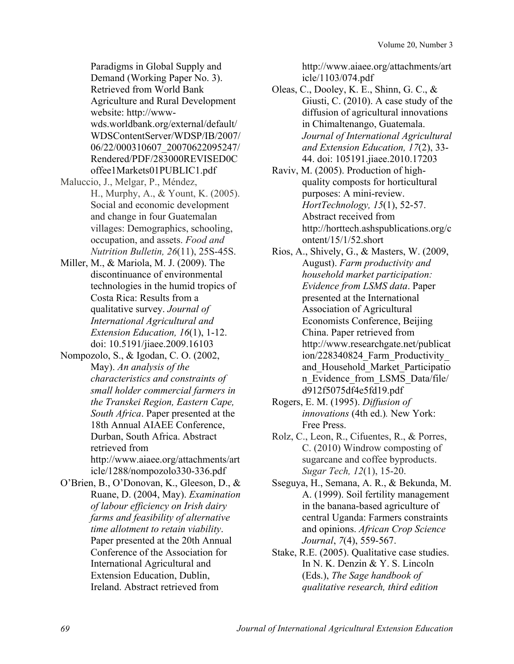Paradigms in Global Supply and Demand (Working Paper No. 3). Retrieved from World Bank Agriculture and Rural Development website: http://wwwwds.worldbank.org/external/default/ WDSContentServer/WDSP/IB/2007/ 06/22/000310607\_20070622095247/ Rendered/PDF/283000REVISED0C offee1Markets01PUBLIC1.pdf

- Maluccio, J., Melgar, P., Méndez, H., Murphy, A., & Yount, K. (2005). Social and economic development and change in four Guatemalan villages: Demographics, schooling, occupation, and assets. *Food and Nutrition Bulletin, 26*(11), 25S-45S.
- Miller, M., & Mariola, M. J. (2009). The discontinuance of environmental technologies in the humid tropics of Costa Rica: Results from a qualitative survey. *Journal of International Agricultural and Extension Education, 16*(1), 1-12. doi: 10.5191/jiaee.2009.16103
- Nompozolo, S., & Igodan, C. O. (2002, May). *An analysis of the characteristics and constraints of small holder commercial farmers in the Transkei Region, Eastern Cape, South Africa*. Paper presented at the 18th Annual AIAEE Conference, Durban, South Africa. Abstract retrieved from http://www.aiaee.org/attachments/art icle/1288/nompozolo330-336.pdf
- O'Brien, B., O'Donovan, K., Gleeson, D., & Ruane, D. (2004, May). *Examination of labour efficiency on Irish dairy farms and feasibility of alternative time allotment to retain viability*. Paper presented at the 20th Annual Conference of the Association for International Agricultural and Extension Education, Dublin, Ireland. Abstract retrieved from

http://www.aiaee.org/attachments/art icle/1103/074.pdf

- Oleas, C., Dooley, K. E., Shinn, G. C., & Giusti, C. (2010). A case study of the diffusion of agricultural innovations in Chimaltenango, Guatemala. *Journal of International Agricultural and Extension Education, 17*(2), 33- 44. doi: 105191.jiaee.2010.17203
- Raviv, M. (2005). Production of highquality composts for horticultural purposes: A mini-review. *HortTechnology, 15*(1), 52-57. Abstract received from http://horttech.ashspublications.org/c ontent/15/1/52.short
- Rios, A., Shively, G., & Masters, W. (2009, August). *Farm productivity and household market participation: Evidence from LSMS data*. Paper presented at the International Association of Agricultural Economists Conference, Beijing China. Paper retrieved from http://www.researchgate.net/publicat ion/228340824\_Farm\_Productivity\_ and\_Household\_Market\_Participatio n Evidence from LSMS Data/file/ d912f5075df4e5fd19.pdf
- Rogers, E. M. (1995). *Diffusion of innovations* (4th ed.)*.* New York: Free Press.
- Rolz, C., Leon, R., Cifuentes, R., & Porres, C. (2010) Windrow composting of sugarcane and coffee byproducts. *Sugar Tech, 12*(1), 15-20.
- Sseguya, H., Semana, A. R., & Bekunda, M. A. (1999). Soil fertility management in the banana-based agriculture of central Uganda: Farmers constraints and opinions. *African Crop Science Journal*, *7*(4), 559-567.
- Stake, R.E. (2005). Qualitative case studies. In N. K. Denzin & Y. S. Lincoln (Eds.), *The Sage handbook of qualitative research, third edition*